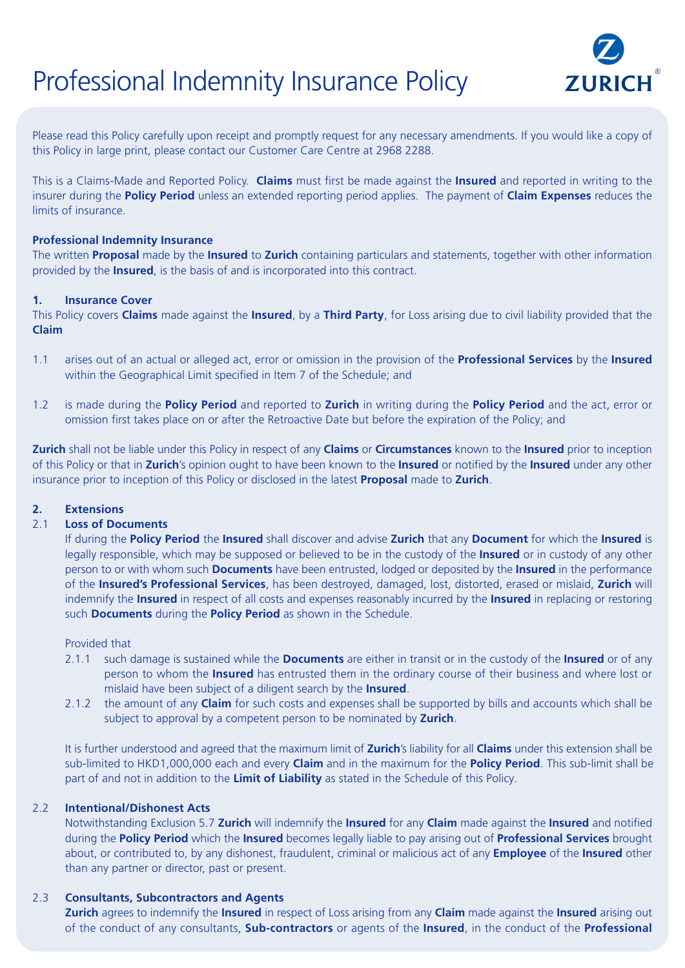# Professional Indemnity Insurance Policy



Please read this Policy carefully upon receipt and promptly request for any necessary amendments. If you would like a copy of this Policy in large print, please contact our Customer Care Centre at 2968 2288.

This is a Claims-Made and Reported Policy. **Claims** must first be made against the **Insured** and reported in writing to the insurer during the **Policy Period** unless an extended reporting period applies. The payment of **Claim Expenses** reduces the limits of insurance.

# **Professional Indemnity Insurance**

The written **Proposal** made by the **Insured** to **Zurich** containing particulars and statements, together with other information provided by the **Insured**, is the basis of and is incorporated into this contract.

# **1. Insurance Cover**

This Policy covers **Claims** made against the **Insured**, by a **Third Party**, for Loss arising due to civil liability provided that the **Claim**

- 1.1 arises out of an actual or alleged act, error or omission in the provision of the **Professional Services** by the **Insured** within the Geographical Limit specified in Item 7 of the Schedule; and
- 1.2 is made during the **Policy Period** and reported to **Zurich** in writing during the **Policy Period** and the act, error or omission first takes place on or after the Retroactive Date but before the expiration of the Policy; and

**Zurich** shall not be liable under this Policy in respect of any **Claims** or **Circumstances** known to the **Insured** prior to inception of this Policy or that in **Zurich**'s opinion ought to have been known to the **Insured** or notified by the **Insured** under any other insurance prior to inception of this Policy or disclosed in the latest **Proposal** made to **Zurich**.

# **2. Extensions**

## 2.1 **Loss of Documents**

If during the **Policy Period** the **Insured** shall discover and advise **Zurich** that any **Document** for which the **Insured** is legally responsible, which may be supposed or believed to be in the custody of the **Insured** or in custody of any other person to or with whom such **Documents** have been entrusted, lodged or deposited by the **Insured** in the performance of the **Insured's Professional Services**, has been destroyed, damaged, lost, distorted, erased or mislaid, **Zurich** will indemnify the **Insured** in respect of all costs and expenses reasonably incurred by the **Insured** in replacing or restoring such **Documents** during the **Policy Period** as shown in the Schedule.

#### Provided that

- 2.1.1 such damage is sustained while the **Documents** are either in transit or in the custody of the **Insured** or of any person to whom the **Insured** has entrusted them in the ordinary course of their business and where lost or mislaid have been subject of a diligent search by the **Insured**.
- 2.1.2 the amount of any **Claim** for such costs and expenses shall be supported by bills and accounts which shall be subject to approval by a competent person to be nominated by **Zurich**.

It is further understood and agreed that the maximum limit of **Zurich**'s liability for all **Claims** under this extension shall be sub-limited to HKD1,000,000 each and every **Claim** and in the maximum for the **Policy Period**. This sub-limit shall be part of and not in addition to the **Limit of Liability** as stated in the Schedule of this Policy.

#### 2.2 **Intentional/Dishonest Acts**

Notwithstanding Exclusion 5.7 **Zurich** will indemnify the **Insured** for any **Claim** made against the **Insured** and notified during the **Policy Period** which the **Insured** becomes legally liable to pay arising out of **Professional Services** brought about, or contributed to, by any dishonest, fraudulent, criminal or malicious act of any **Employee** of the **Insured** other than any partner or director, past or present.

# 2.3 **Consultants, Subcontractors and Agents**

**Zurich** agrees to indemnify the **Insured** in respect of Loss arising from any **Claim** made against the **Insured** arising out of the conduct of any consultants, **Sub-contractors** or agents of the **Insured**, in the conduct of the **Professional**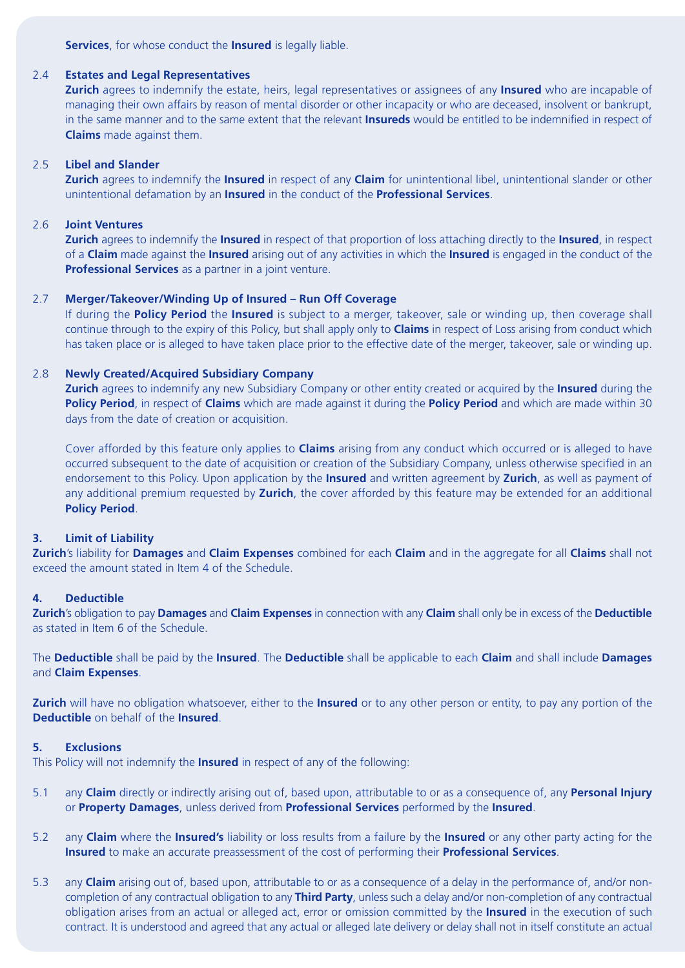**Services**, for whose conduct the **Insured** is legally liable.

# 2.4 **Estates and Legal Representatives**

**Zurich** agrees to indemnify the estate, heirs, legal representatives or assignees of any **Insured** who are incapable of managing their own affairs by reason of mental disorder or other incapacity or who are deceased, insolvent or bankrupt, in the same manner and to the same extent that the relevant **Insureds** would be entitled to be indemnified in respect of **Claims** made against them.

# 2.5 **Libel and Slander**

**Zurich** agrees to indemnify the **Insured** in respect of any **Claim** for unintentional libel, unintentional slander or other unintentional defamation by an **Insured** in the conduct of the **Professional Services**.

# 2.6 **Joint Ventures**

**Zurich** agrees to indemnify the **Insured** in respect of that proportion of loss attaching directly to the **Insured**, in respect of a **Claim** made against the **Insured** arising out of any activities in which the **Insured** is engaged in the conduct of the **Professional Services** as a partner in a joint venture.

# 2.7 **Merger/Takeover/Winding Up of Insured – Run Off Coverage**

If during the **Policy Period** the **Insured** is subject to a merger, takeover, sale or winding up, then coverage shall continue through to the expiry of this Policy, but shall apply only to **Claims** in respect of Loss arising from conduct which has taken place or is alleged to have taken place prior to the effective date of the merger, takeover, sale or winding up.

# 2.8 **Newly Created/Acquired Subsidiary Company**

**Zurich** agrees to indemnify any new Subsidiary Company or other entity created or acquired by the **Insured** during the **Policy Period**, in respect of **Claims** which are made against it during the **Policy Period** and which are made within 30 days from the date of creation or acquisition.

Cover afforded by this feature only applies to **Claims** arising from any conduct which occurred or is alleged to have occurred subsequent to the date of acquisition or creation of the Subsidiary Company, unless otherwise specified in an endorsement to this Policy. Upon application by the **Insured** and written agreement by **Zurich**, as well as payment of any additional premium requested by **Zurich**, the cover afforded by this feature may be extended for an additional **Policy Period**.

# **3. Limit of Liability**

**Zurich**'s liability for **Damages** and **Claim Expenses** combined for each **Claim** and in the aggregate for all **Claims** shall not exceed the amount stated in Item 4 of the Schedule.

# **4. Deductible**

**Zurich**'s obligation to pay **Damages** and **Claim Expenses** in connection with any **Claim** shall only be in excess of the **Deductible** as stated in Item 6 of the Schedule.

The **Deductible** shall be paid by the **Insured**. The **Deductible** shall be applicable to each **Claim** and shall include **Damages** and **Claim Expenses**.

**Zurich** will have no obligation whatsoever, either to the **Insured** or to any other person or entity, to pay any portion of the **Deductible** on behalf of the **Insured**.

# **5. Exclusions**

This Policy will not indemnify the **Insured** in respect of any of the following:

- 5.1 any **Claim** directly or indirectly arising out of, based upon, attributable to or as a consequence of, any **Personal Injury** or **Property Damages**, unless derived from **Professional Services** performed by the **Insured**.
- 5.2 any **Claim** where the **Insured's** liability or loss results from a failure by the **Insured** or any other party acting for the **Insured** to make an accurate preassessment of the cost of performing their **Professional Services**.
- 5.3 any **Claim** arising out of, based upon, attributable to or as a consequence of a delay in the performance of, and/or noncompletion of any contractual obligation to any **Third Party**, unless such a delay and/or non-completion of any contractual obligation arises from an actual or alleged act, error or omission committed by the **Insured** in the execution of such contract. It is understood and agreed that any actual or alleged late delivery or delay shall not in itself constitute an actual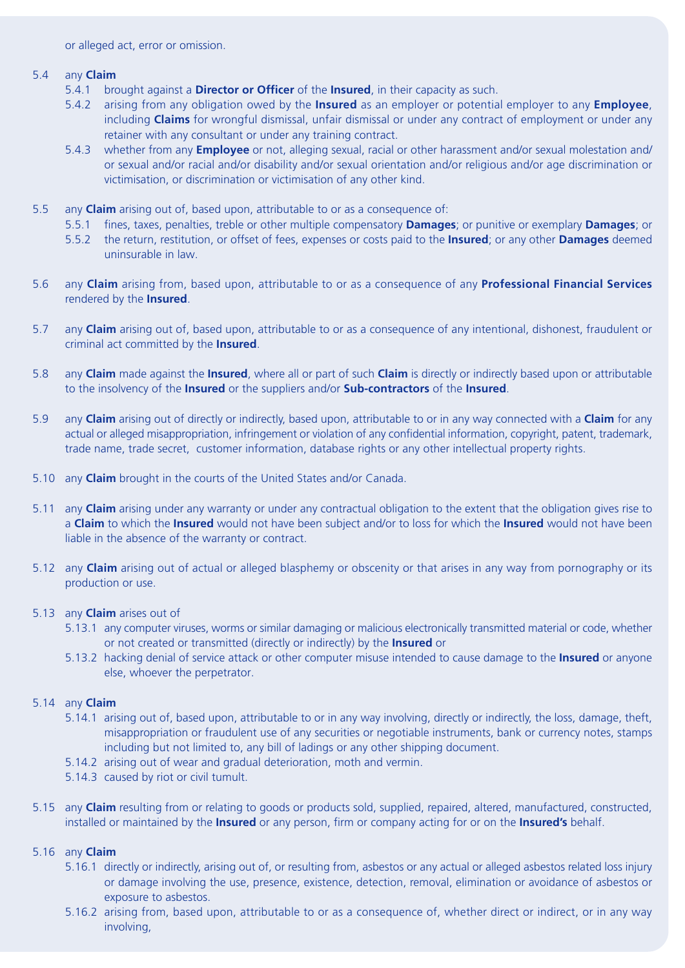or alleged act, error or omission.

## 5.4 any **Claim**

- 5.4.1 brought against a **Director or Officer** of the **Insured**, in their capacity as such.
- 5.4.2 arising from any obligation owed by the **Insured** as an employer or potential employer to any **Employee**, including **Claims** for wrongful dismissal, unfair dismissal or under any contract of employment or under any retainer with any consultant or under any training contract.
- 5.4.3 whether from any **Employee** or not, alleging sexual, racial or other harassment and/or sexual molestation and/ or sexual and/or racial and/or disability and/or sexual orientation and/or religious and/or age discrimination or victimisation, or discrimination or victimisation of any other kind.
- 5.5 any **Claim** arising out of, based upon, attributable to or as a consequence of:
	- 5.5.1 fines, taxes, penalties, treble or other multiple compensatory **Damages**; or punitive or exemplary **Damages**; or
	- 5.5.2 the return, restitution, or offset of fees, expenses or costs paid to the **Insured**; or any other **Damages** deemed uninsurable in law.
- 5.6 any **Claim** arising from, based upon, attributable to or as a consequence of any **Professional Financial Services** rendered by the **Insured**.
- 5.7 any **Claim** arising out of, based upon, attributable to or as a consequence of any intentional, dishonest, fraudulent or criminal act committed by the **Insured**.
- 5.8 any **Claim** made against the **Insured**, where all or part of such **Claim** is directly or indirectly based upon or attributable to the insolvency of the **Insured** or the suppliers and/or **Sub-contractors** of the **Insured**.
- 5.9 any **Claim** arising out of directly or indirectly, based upon, attributable to or in any way connected with a **Claim** for any actual or alleged misappropriation, infringement or violation of any confidential information, copyright, patent, trademark, trade name, trade secret, customer information, database rights or any other intellectual property rights.
- 5.10 any **Claim** brought in the courts of the United States and/or Canada.
- 5.11 any **Claim** arising under any warranty or under any contractual obligation to the extent that the obligation gives rise to a **Claim** to which the **Insured** would not have been subject and/or to loss for which the **Insured** would not have been liable in the absence of the warranty or contract.
- 5.12 any **Claim** arising out of actual or alleged blasphemy or obscenity or that arises in any way from pornography or its production or use.
- 5.13 any **Claim** arises out of
	- 5.13.1 any computer viruses, worms or similar damaging or malicious electronically transmitted material or code, whether or not created or transmitted (directly or indirectly) by the **Insured** or
	- 5.13.2 hacking denial of service attack or other computer misuse intended to cause damage to the **Insured** or anyone else, whoever the perpetrator.

# 5.14 any **Claim**

- 5.14.1 arising out of, based upon, attributable to or in any way involving, directly or indirectly, the loss, damage, theft, misappropriation or fraudulent use of any securities or negotiable instruments, bank or currency notes, stamps including but not limited to, any bill of ladings or any other shipping document.
- 5.14.2 arising out of wear and gradual deterioration, moth and vermin.
- 5.14.3 caused by riot or civil tumult.
- 5.15 any **Claim** resulting from or relating to goods or products sold, supplied, repaired, altered, manufactured, constructed, installed or maintained by the **Insured** or any person, firm or company acting for or on the **Insured's** behalf.

# 5.16 any **Claim**

- 5.16.1 directly or indirectly, arising out of, or resulting from, asbestos or any actual or alleged asbestos related loss injury or damage involving the use, presence, existence, detection, removal, elimination or avoidance of asbestos or exposure to asbestos.
- 5.16.2 arising from, based upon, attributable to or as a consequence of, whether direct or indirect, or in any way involving,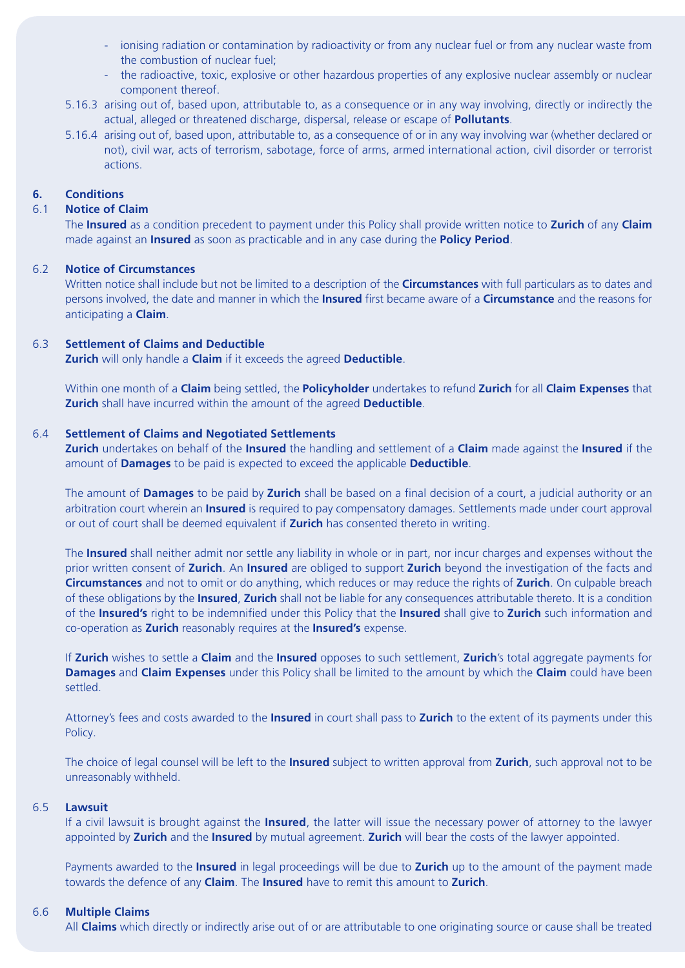- ionising radiation or contamination by radioactivity or from any nuclear fuel or from any nuclear waste from the combustion of nuclear fuel;
- the radioactive, toxic, explosive or other hazardous properties of any explosive nuclear assembly or nuclear component thereof.
- 5.16.3 arising out of, based upon, attributable to, as a consequence or in any way involving, directly or indirectly the actual, alleged or threatened discharge, dispersal, release or escape of **Pollutants**.
- 5.16.4 arising out of, based upon, attributable to, as a consequence of or in any way involving war (whether declared or not), civil war, acts of terrorism, sabotage, force of arms, armed international action, civil disorder or terrorist actions.

# **6. Conditions**

#### 6.1 **Notice of Claim**

The **Insured** as a condition precedent to payment under this Policy shall provide written notice to **Zurich** of any **Claim** made against an **Insured** as soon as practicable and in any case during the **Policy Period**.

#### 6.2 **Notice of Circumstances**

Written notice shall include but not be limited to a description of the **Circumstances** with full particulars as to dates and persons involved, the date and manner in which the **Insured** first became aware of a **Circumstance** and the reasons for anticipating a **Claim**.

#### 6.3 **Settlement of Claims and Deductible**

**Zurich** will only handle a **Claim** if it exceeds the agreed **Deductible**.

Within one month of a **Claim** being settled, the **Policyholder** undertakes to refund **Zurich** for all **Claim Expenses** that **Zurich** shall have incurred within the amount of the agreed **Deductible**.

# 6.4 **Settlement of Claims and Negotiated Settlements**

**Zurich** undertakes on behalf of the **Insured** the handling and settlement of a **Claim** made against the **Insured** if the amount of **Damages** to be paid is expected to exceed the applicable **Deductible**.

The amount of **Damages** to be paid by **Zurich** shall be based on a final decision of a court, a judicial authority or an arbitration court wherein an **Insured** is required to pay compensatory damages. Settlements made under court approval or out of court shall be deemed equivalent if **Zurich** has consented thereto in writing.

The **Insured** shall neither admit nor settle any liability in whole or in part, nor incur charges and expenses without the prior written consent of **Zurich**. An **Insured** are obliged to support **Zurich** beyond the investigation of the facts and **Circumstances** and not to omit or do anything, which reduces or may reduce the rights of **Zurich**. On culpable breach of these obligations by the **Insured**, **Zurich** shall not be liable for any consequences attributable thereto. It is a condition of the **Insured's** right to be indemnified under this Policy that the **Insured** shall give to **Zurich** such information and co-operation as **Zurich** reasonably requires at the **Insured's** expense.

If **Zurich** wishes to settle a **Claim** and the **Insured** opposes to such settlement, **Zurich**'s total aggregate payments for **Damages** and **Claim Expenses** under this Policy shall be limited to the amount by which the **Claim** could have been settled.

Attorney's fees and costs awarded to the **Insured** in court shall pass to **Zurich** to the extent of its payments under this Policy.

The choice of legal counsel will be left to the **Insured** subject to written approval from **Zurich**, such approval not to be unreasonably withheld.

#### 6.5 **Lawsuit**

If a civil lawsuit is brought against the **Insured**, the latter will issue the necessary power of attorney to the lawyer appointed by **Zurich** and the **Insured** by mutual agreement. **Zurich** will bear the costs of the lawyer appointed.

Payments awarded to the **Insured** in legal proceedings will be due to **Zurich** up to the amount of the payment made towards the defence of any **Claim**. The **Insured** have to remit this amount to **Zurich**.

#### 6.6 **Multiple Claims**

All **Claims** which directly or indirectly arise out of or are attributable to one originating source or cause shall be treated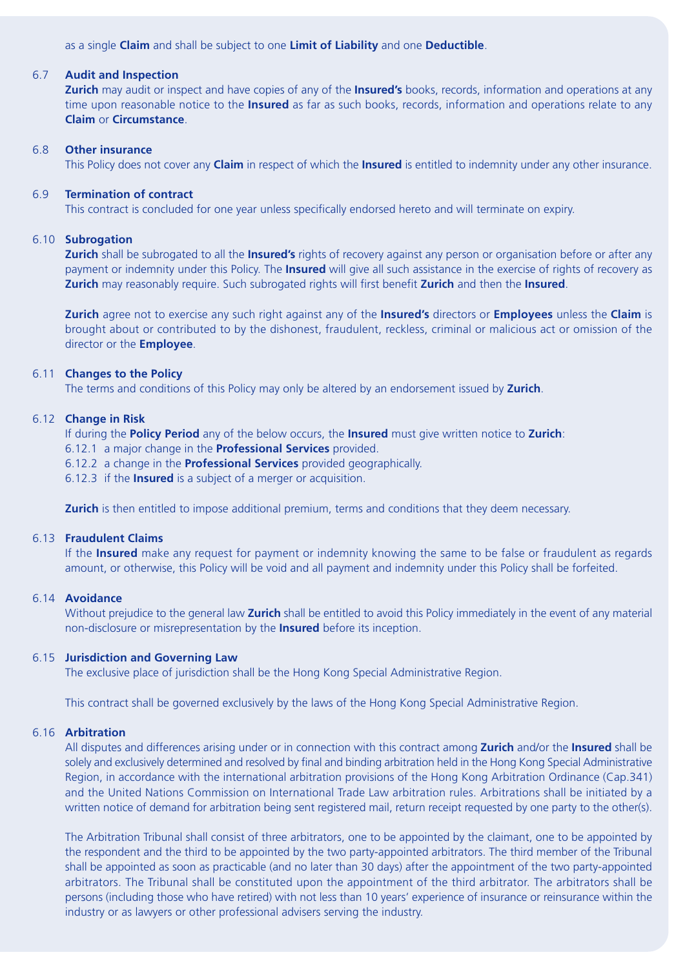as a single **Claim** and shall be subject to one **Limit of Liability** and one **Deductible**.

#### 6.7 **Audit and Inspection**

**Zurich** may audit or inspect and have copies of any of the **Insured's** books, records, information and operations at any time upon reasonable notice to the **Insured** as far as such books, records, information and operations relate to any **Claim** or **Circumstance**.

#### 6.8 **Other insurance**

This Policy does not cover any **Claim** in respect of which the **Insured** is entitled to indemnity under any other insurance.

# 6.9 **Termination of contract**

This contract is concluded for one year unless specifically endorsed hereto and will terminate on expiry.

# 6.10 **Subrogation**

**Zurich** shall be subrogated to all the **Insured's** rights of recovery against any person or organisation before or after any payment or indemnity under this Policy. The **Insured** will give all such assistance in the exercise of rights of recovery as **Zurich** may reasonably require. Such subrogated rights will first benefit **Zurich** and then the **Insured**.

**Zurich** agree not to exercise any such right against any of the **Insured's** directors or **Employees** unless the **Claim** is brought about or contributed to by the dishonest, fraudulent, reckless, criminal or malicious act or omission of the director or the **Employee**.

# 6.11 **Changes to the Policy**

The terms and conditions of this Policy may only be altered by an endorsement issued by **Zurich**.

# 6.12 **Change in Risk**

If during the **Policy Period** any of the below occurs, the **Insured** must give written notice to **Zurich**:

- 6.12.1 a major change in the **Professional Services** provided.
- 6.12.2 a change in the **Professional Services** provided geographically.
- 6.12.3 if the **Insured** is a subject of a merger or acquisition.

**Zurich** is then entitled to impose additional premium, terms and conditions that they deem necessary.

#### 6.13 **Fraudulent Claims**

If the **Insured** make any request for payment or indemnity knowing the same to be false or fraudulent as regards amount, or otherwise, this Policy will be void and all payment and indemnity under this Policy shall be forfeited.

# 6.14 **Avoidance**

Without prejudice to the general law **Zurich** shall be entitled to avoid this Policy immediately in the event of any material non-disclosure or misrepresentation by the **Insured** before its inception.

#### 6.15 **Jurisdiction and Governing Law**

The exclusive place of jurisdiction shall be the Hong Kong Special Administrative Region.

This contract shall be governed exclusively by the laws of the Hong Kong Special Administrative Region.

#### 6.16 **Arbitration**

All disputes and differences arising under or in connection with this contract among **Zurich** and/or the **Insured** shall be solely and exclusively determined and resolved by final and binding arbitration held in the Hong Kong Special Administrative Region, in accordance with the international arbitration provisions of the Hong Kong Arbitration Ordinance (Cap.341) and the United Nations Commission on International Trade Law arbitration rules. Arbitrations shall be initiated by a written notice of demand for arbitration being sent registered mail, return receipt requested by one party to the other(s).

The Arbitration Tribunal shall consist of three arbitrators, one to be appointed by the claimant, one to be appointed by the respondent and the third to be appointed by the two party-appointed arbitrators. The third member of the Tribunal shall be appointed as soon as practicable (and no later than 30 days) after the appointment of the two party-appointed arbitrators. The Tribunal shall be constituted upon the appointment of the third arbitrator. The arbitrators shall be persons (including those who have retired) with not less than 10 years' experience of insurance or reinsurance within the industry or as lawyers or other professional advisers serving the industry.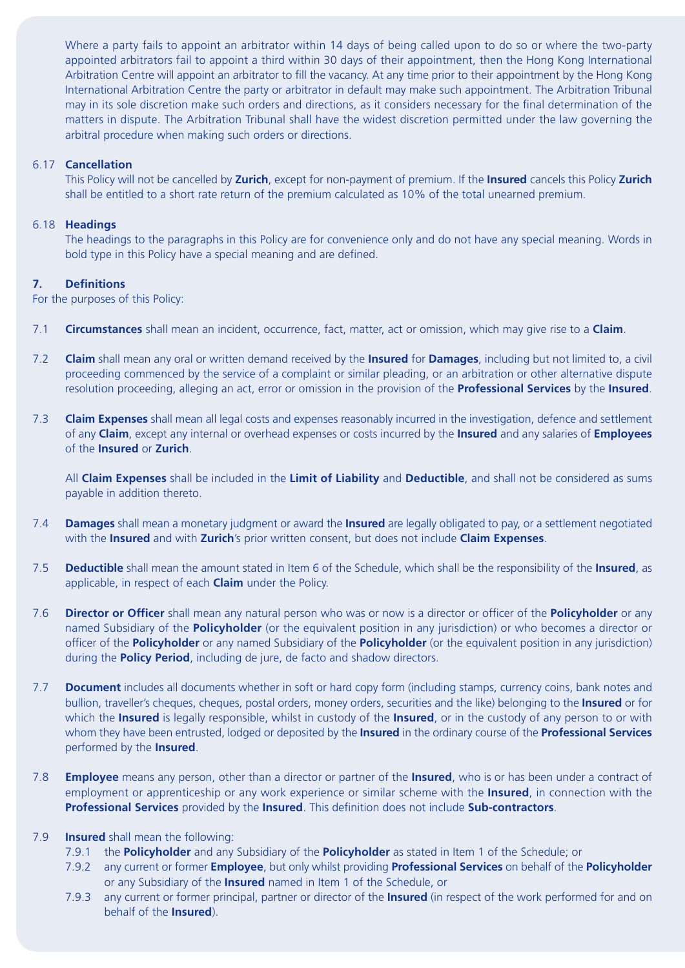Where a party fails to appoint an arbitrator within 14 days of being called upon to do so or where the two-party appointed arbitrators fail to appoint a third within 30 days of their appointment, then the Hong Kong International Arbitration Centre will appoint an arbitrator to fill the vacancy. At any time prior to their appointment by the Hong Kong International Arbitration Centre the party or arbitrator in default may make such appointment. The Arbitration Tribunal may in its sole discretion make such orders and directions, as it considers necessary for the final determination of the matters in dispute. The Arbitration Tribunal shall have the widest discretion permitted under the law governing the arbitral procedure when making such orders or directions.

# 6.17 **Cancellation**

This Policy will not be cancelled by **Zurich**, except for non-payment of premium. If the **Insured** cancels this Policy **Zurich** shall be entitled to a short rate return of the premium calculated as 10% of the total unearned premium.

# 6.18 **Headings**

The headings to the paragraphs in this Policy are for convenience only and do not have any special meaning. Words in bold type in this Policy have a special meaning and are defined.

# **7. Definitions**

For the purposes of this Policy:

- 7.1 **Circumstances** shall mean an incident, occurrence, fact, matter, act or omission, which may give rise to a **Claim**.
- 7.2 **Claim** shall mean any oral or written demand received by the **Insured** for **Damages**, including but not limited to, a civil proceeding commenced by the service of a complaint or similar pleading, or an arbitration or other alternative dispute resolution proceeding, alleging an act, error or omission in the provision of the **Professional Services** by the **Insured**.
- 7.3 **Claim Expenses** shall mean all legal costs and expenses reasonably incurred in the investigation, defence and settlement of any **Claim**, except any internal or overhead expenses or costs incurred by the **Insured** and any salaries of **Employees** of the **Insured** or **Zurich**.

All **Claim Expenses** shall be included in the **Limit of Liability** and **Deductible**, and shall not be considered as sums payable in addition thereto.

- 7.4 **Damages** shall mean a monetary judgment or award the **Insured** are legally obligated to pay, or a settlement negotiated with the **Insured** and with **Zurich**'s prior written consent, but does not include **Claim Expenses**.
- 7.5 **Deductible** shall mean the amount stated in Item 6 of the Schedule, which shall be the responsibility of the **Insured**, as applicable, in respect of each **Claim** under the Policy.
- 7.6 **Director or Officer** shall mean any natural person who was or now is a director or officer of the **Policyholder** or any named Subsidiary of the **Policyholder** (or the equivalent position in any jurisdiction) or who becomes a director or officer of the **Policyholder** or any named Subsidiary of the **Policyholder** (or the equivalent position in any jurisdiction) during the **Policy Period**, including de jure, de facto and shadow directors.
- 7.7 **Document** includes all documents whether in soft or hard copy form (including stamps, currency coins, bank notes and bullion, traveller's cheques, cheques, postal orders, money orders, securities and the like) belonging to the **Insured** or for which the **Insured** is legally responsible, whilst in custody of the **Insured**, or in the custody of any person to or with whom they have been entrusted, lodged or deposited by the **Insured** in the ordinary course of the **Professional Services** performed by the **Insured**.
- 7.8 **Employee** means any person, other than a director or partner of the **Insured**, who is or has been under a contract of employment or apprenticeship or any work experience or similar scheme with the **Insured**, in connection with the **Professional Services** provided by the **Insured**. This definition does not include **Sub-contractors**.

# 7.9 **Insured** shall mean the following:

- 7.9.1 the **Policyholder** and any Subsidiary of the **Policyholder** as stated in Item 1 of the Schedule; or
- 7.9.2 any current or former **Employee**, but only whilst providing **Professional Services** on behalf of the **Policyholder** or any Subsidiary of the **Insured** named in Item 1 of the Schedule, or
- 7.9.3 any current or former principal, partner or director of the **Insured** (in respect of the work performed for and on behalf of the **Insured**).